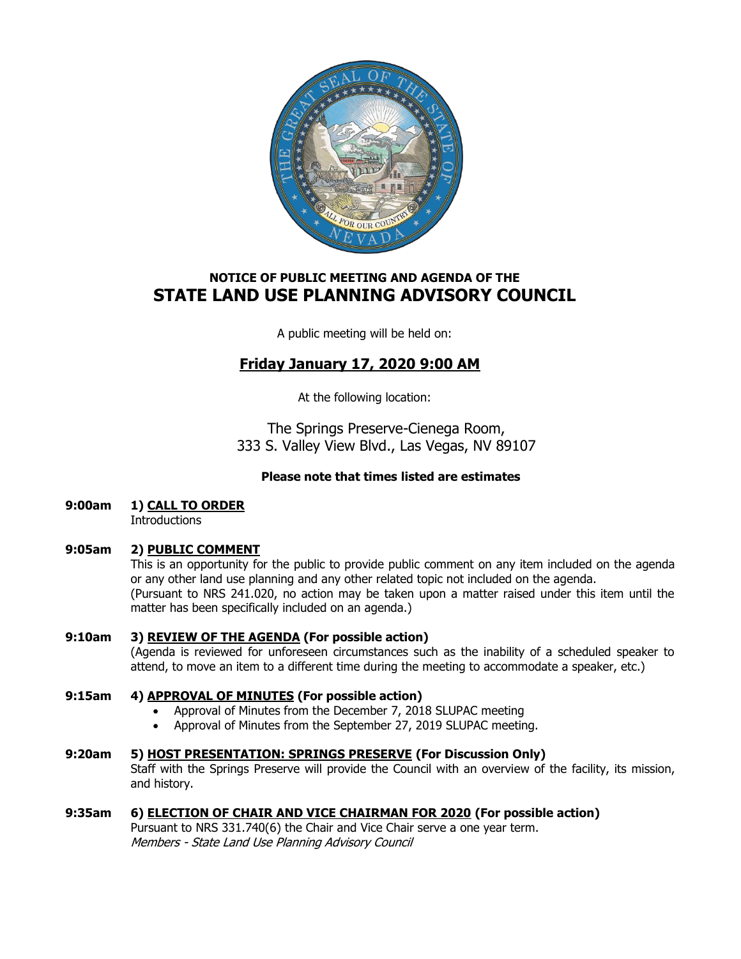

# **NOTICE OF PUBLIC MEETING AND AGENDA OF THE STATE LAND USE PLANNING ADVISORY COUNCIL**

A public meeting will be held on:

# **Friday January 17, 2020 9:00 AM**

At the following location:

The Springs Preserve-Cienega Room, 333 S. Valley View Blvd., Las Vegas, NV 89107

# **Please note that times listed are estimates**

**9:00am 1) CALL TO ORDER**

**Introductions** 

# **9:05am 2) PUBLIC COMMENT**

This is an opportunity for the public to provide public comment on any item included on the agenda or any other land use planning and any other related topic not included on the agenda. (Pursuant to NRS 241.020, no action may be taken upon a matter raised under this item until the matter has been specifically included on an agenda.)

## **9:10am 3) REVIEW OF THE AGENDA (For possible action)** (Agenda is reviewed for unforeseen circumstances such as the inability of a scheduled speaker to attend, to move an item to a different time during the meeting to accommodate a speaker, etc.)

# **9:15am 4) APPROVAL OF MINUTES (For possible action)**

- Approval of Minutes from the December 7, 2018 SLUPAC meeting
- Approval of Minutes from the September 27, 2019 SLUPAC meeting.

# **9:20am 5) HOST PRESENTATION: SPRINGS PRESERVE (For Discussion Only)**

Staff with the Springs Preserve will provide the Council with an overview of the facility, its mission, and history.

# **9:35am 6) ELECTION OF CHAIR AND VICE CHAIRMAN FOR 2020 (For possible action)**

Pursuant to NRS 331.740(6) the Chair and Vice Chair serve a one year term. Members - State Land Use Planning Advisory Council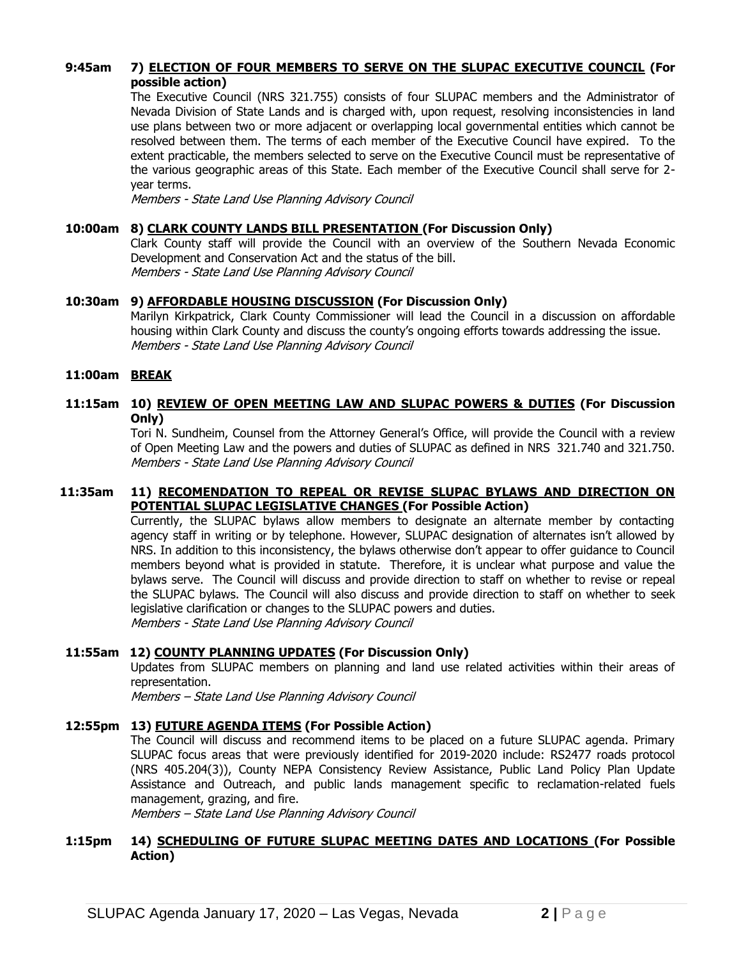## **9:45am 7) ELECTION OF FOUR MEMBERS TO SERVE ON THE SLUPAC EXECUTIVE COUNCIL (For possible action)**

The Executive Council (NRS 321.755) consists of four SLUPAC members and the Administrator of Nevada Division of State Lands and is charged with, upon request, resolving inconsistencies in land use plans between two or more adjacent or overlapping local governmental entities which cannot be resolved between them. The terms of each member of the Executive Council have expired. To the extent practicable, the members selected to serve on the Executive Council must be representative of the various geographic areas of this State. Each member of the Executive Council shall serve for 2 year terms.

Members - State Land Use Planning Advisory Council

#### **10:00am 8) CLARK COUNTY LANDS BILL PRESENTATION (For Discussion Only)**

Clark County staff will provide the Council with an overview of the Southern Nevada Economic Development and Conservation Act and the status of the bill. Members - State Land Use Planning Advisory Council

#### **10:30am 9) AFFORDABLE HOUSING DISCUSSION (For Discussion Only)**

Marilyn Kirkpatrick, Clark County Commissioner will lead the Council in a discussion on affordable housing within Clark County and discuss the county's ongoing efforts towards addressing the issue. Members - State Land Use Planning Advisory Council

#### **11:00am BREAK**

### **11:15am 10) REVIEW OF OPEN MEETING LAW AND SLUPAC POWERS & DUTIES (For Discussion Only)**

Tori N. Sundheim, Counsel from the Attorney General's Office, will provide the Council with a review of Open Meeting Law and the powers and duties of SLUPAC as defined in NRS 321.740 and 321.750. Members - State Land Use Planning Advisory Council

#### **11:35am 11) RECOMENDATION TO REPEAL OR REVISE SLUPAC BYLAWS AND DIRECTION ON POTENTIAL SLUPAC LEGISLATIVE CHANGES (For Possible Action)**

Currently, the SLUPAC bylaws allow members to designate an alternate member by contacting agency staff in writing or by telephone. However, SLUPAC designation of alternates isn't allowed by NRS. In addition to this inconsistency, the bylaws otherwise don't appear to offer guidance to Council members beyond what is provided in statute. Therefore, it is unclear what purpose and value the bylaws serve. The Council will discuss and provide direction to staff on whether to revise or repeal the SLUPAC bylaws. The Council will also discuss and provide direction to staff on whether to seek legislative clarification or changes to the SLUPAC powers and duties. Members - State Land Use Planning Advisory Council

#### **11:55am 12) COUNTY PLANNING UPDATES (For Discussion Only)**

Updates from SLUPAC members on planning and land use related activities within their areas of representation.

Members – State Land Use Planning Advisory Council

#### **12:55pm 13) FUTURE AGENDA ITEMS (For Possible Action)**

The Council will discuss and recommend items to be placed on a future SLUPAC agenda. Primary SLUPAC focus areas that were previously identified for 2019-2020 include: RS2477 roads protocol (NRS 405.204(3)), County NEPA Consistency Review Assistance, Public Land Policy Plan Update Assistance and Outreach, and public lands management specific to reclamation-related fuels management, grazing, and fire.

Members – State Land Use Planning Advisory Council

#### **1:15pm 14) SCHEDULING OF FUTURE SLUPAC MEETING DATES AND LOCATIONS (For Possible Action)**